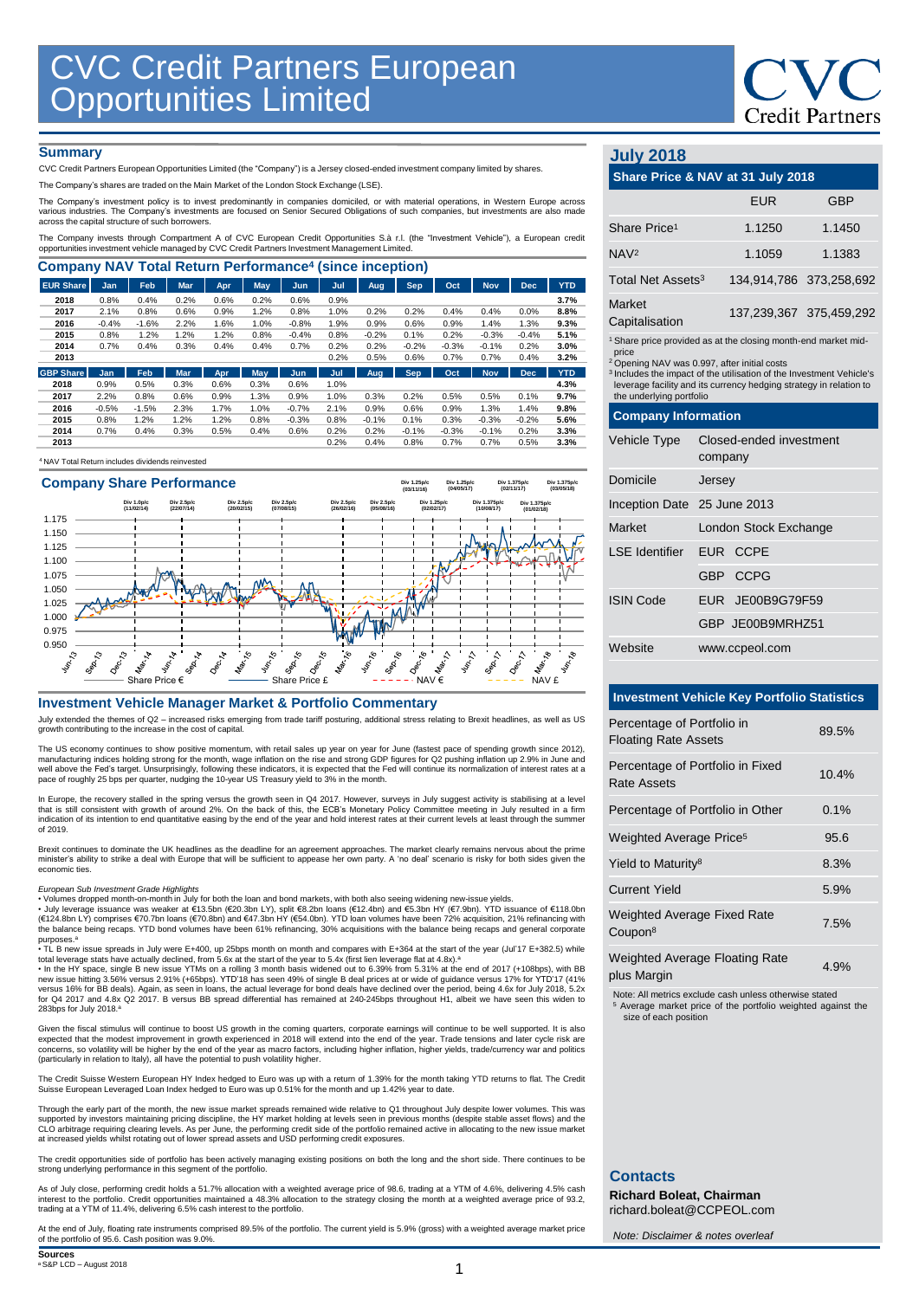# **Credit Partners**

### **Summary**

CVC Credit Partners European Opportunities Limited (the "Company") is a Jersey closed-ended investment company limited by shares.

The Company's shares are traded on the Main Market of the London Stock Exchange (LSE).

The Company's investment policy is to invest predominantly in companies domiciled, or with material operations, in Western Europe across<br>various industries. The Company's investments are focused on Senior Secured Obligatio

The Company invests through Compartment A of CVC European Credit Opportunities S.à r.l. (the "Investment Vehicle"), a European credit<br>opportunities investment vehicle managed by CVC Credit Partners Investment Management Li

| <b>Company NAV Total Return Performance<sup>4</sup> (since inception)</b> |         |         |            |      |            |            |      |         |            |         |            |            |            |
|---------------------------------------------------------------------------|---------|---------|------------|------|------------|------------|------|---------|------------|---------|------------|------------|------------|
| <b>EUR Share</b>                                                          | Jan     | Feb     | <b>Mar</b> | Apr  | May        | <b>Jun</b> | Jul  | Aug     | Sep        | Oct     | <b>Nov</b> | <b>Dec</b> | <b>YTD</b> |
| 2018                                                                      | 0.8%    | 0.4%    | 0.2%       | 0.6% | 0.2%       | 0.6%       | 0.9% |         |            |         |            |            | 3.7%       |
| 2017                                                                      | 2.1%    | 0.8%    | 0.6%       | 0.9% | 1.2%       | 0.8%       | 1.0% | 0.2%    | 0.2%       | 0.4%    | 0.4%       | 0.0%       | 8.8%       |
| 2016                                                                      | $-0.4%$ | $-1.6%$ | 2.2%       | 1.6% | 1.0%       | $-0.8%$    | 1.9% | 0.9%    | 0.6%       | 0.9%    | 1.4%       | 1.3%       | 9.3%       |
| 2015                                                                      | 0.8%    | 1.2%    | 1.2%       | 1.2% | 0.8%       | $-0.4%$    | 0.8% | $-0.2%$ | 0.1%       | 0.2%    | $-0.3%$    | $-0.4%$    | 5.1%       |
| 2014                                                                      | 0.7%    | 0.4%    | 0.3%       | 0.4% | 0.4%       | 0.7%       | 0.2% | 0.2%    | $-0.2%$    | $-0.3%$ | $-0.1%$    | 0.2%       | 3.0%       |
| 2013                                                                      |         |         |            |      |            |            | 0.2% | 0.5%    | 0.6%       | 0.7%    | 0.7%       | 0.4%       | 3.2%       |
| <b>GBP Share</b>                                                          | Jan     | Feb     | <b>Mar</b> | Apr. | <b>May</b> | Jun        | Jul  | Aug     | <b>Sep</b> | Oct     | <b>Nov</b> | <b>Dec</b> | <b>YTD</b> |
| 2018                                                                      | 0.9%    | 0.5%    | 0.3%       | 0.6% | 0.3%       | 0.6%       | 1.0% |         |            |         |            |            | 4.3%       |
| 2017                                                                      | 2.2%    | 0.8%    | 0.6%       | 0.9% | 1.3%       | 0.9%       | 1.0% | 0.3%    | 0.2%       | 0.5%    | 0.5%       | 0.1%       | 9.7%       |
| 2016                                                                      | $-0.5%$ | $-1.5%$ | 2.3%       | 1.7% | 1.0%       | $-0.7%$    | 2.1% | 0.9%    | 0.6%       | 0.9%    | 1.3%       | 1.4%       | 9.8%       |
| 2015                                                                      | 0.8%    | 1.2%    | 1.2%       | 1.2% | 0.8%       | $-0.3%$    | 0.8% | $-0.1%$ | 0.1%       | 0.3%    | $-0.3%$    | $-0.2%$    | 5.6%       |
| 2014                                                                      | 0.7%    | 0.4%    | 0.3%       | 0.5% | 0.4%       | 0.6%       | 0.2% | 0.2%    | $-0.1%$    | $-0.3%$ | $-0.1%$    | 0.2%       | 3.3%       |
| 2013                                                                      |         |         |            |      |            |            | 0.2% | 0.4%    | 0.8%       | 0.7%    | 0.7%       | 0.5%       | 3.3%       |





### **Investment Vehicle Manager Market & Portfolio Commentary**

July extended the themes of Q2 – increased risks emerging from trade tariff posturing, additional stress relating to Brexit headlines, as well as US growth contributing to the increase in the cost of capital.

The US economy continues to show positive momentum, with retail sales up year on year for June (fastest pace of spending growth since 2012),<br>manufacturing indices holding strong for the month, wage inflation on the rise a

In Europe, the recovery stalled in the spring versus the growth seen in Q4 2017. However, surveys in July suggest activity is stabilising at a level<br>that is still consistent with growth of around 2%. On the back of this, t of 2019.

Brexit continues to dominate the UK headlines as the deadline for an agreement approaches. The market clearly remains nervous about the prime minister's ability to strike a deal with Europe that will be sufficient to appease her own party. A 'no deal' scenario is risky for both sides given the economic ties.

### *European Sub Investment Grade Highlights*

• Volumes dropped month-on-month in July for both the loan and bond markets, with both also seeing widening new-issue yields.<br>• July leverage issuance was weaker at €13.5bn (€20.3bn LY), split €8.2bn loans (€12.4bn) and € the balance being recaps. YTD bond volumes have been 61% refinancing, 30% acquisitions with the balance being recaps and general corporate purposes. a • TL B new issue spreads in July were E+400, up 25bps month on month and compares with E+364 at the start of the year (Jul'17 E+382.5) while

total leverage stats have actually declined, from 5.6x at the start of the year to 5.4x (first lien leverage flat at 4.8x).ª<br>• In the HY space, single B new issue YTMs on a rolling 3 month basis widened out to 6.39% from 5 versus 16% for BB deals). Again, as seen in loans, the actual leverage for bond deals have declined over the period, being 4.6x for July 2018, 5.2x<br>for Q4 2017 and 4.8x Q2 2017. B versus BB spread differential has remained 283bps for July 2018. a

Given the fiscal stimulus will continue to boost US growth in the coming quarters, corporate earnings will continue to be well supported. It is also<br>expected that the modest improvement in growth experienced in 2018 will e concerns, so volatility will be higher by the end of the year as macro factors, including higher inflation, higher yields, trade/currency war and politics (particularly in relation to Italy), all have the potential to push volatility higher.

The Credit Suisse Western European HY Index hedged to Euro was up with a return of 1.39% for the month taking YTD returns to flat. The Credit<br>Suisse European Leveraged Loan Index hedged to Euro was up 0.51% for the month a

Through the early part of the month, the new issue market spreads remained wide relative to Q1 throughout July despite lower volumes. This was<br>supported by investors maintaining pricing discipline, the HY market holding at

The credit opportunities side of portfolio has been actively managing existing positions on both the long and the short side. There continues to be strong underlying performance in this segment of the portfolio.

As of July close, performing credit holds a 51.7% allocation with a weighted average price of 98.6, trading at a YTM of 4.6%, delivering 4.5% cash<br>interest to the portfolio. Credit opportunities maintained a 48.3% allocati

At the end of July, floating rate instruments comprised 89.5% of the portfolio. The current yield is 5.9% (gross) with a weighted average market price of the portfolio of 95.6. Cash position was 9.0%.

### **Sources** <sup>a</sup>S&P LCD – August 2018

1

## **July 2018**

| Share Price & NAV at 31 July 2018                                                                                                                                                                                                                                                                                                  |                                    |                  |                         |  |  |  |  |
|------------------------------------------------------------------------------------------------------------------------------------------------------------------------------------------------------------------------------------------------------------------------------------------------------------------------------------|------------------------------------|------------------|-------------------------|--|--|--|--|
|                                                                                                                                                                                                                                                                                                                                    |                                    | FUR              | GBP                     |  |  |  |  |
| Share Price <sup>1</sup>                                                                                                                                                                                                                                                                                                           |                                    | 1.1250           | 1.1450                  |  |  |  |  |
| NAV <sup>2</sup>                                                                                                                                                                                                                                                                                                                   |                                    | 1.1059           | 1.1383                  |  |  |  |  |
| Total Net Assets <sup>3</sup>                                                                                                                                                                                                                                                                                                      |                                    |                  | 134,914,786 373,258,692 |  |  |  |  |
| Market<br>Capitalisation                                                                                                                                                                                                                                                                                                           |                                    |                  | 137,239,367 375,459,292 |  |  |  |  |
| <sup>1</sup> Share price provided as at the closing month-end market mid-<br>price<br><sup>2</sup> Opening NAV was 0.997, after initial costs<br><sup>3</sup> Includes the impact of the utilisation of the Investment Vehicle's<br>leverage facility and its currency hedging strategy in relation to<br>the underlying portfolio |                                    |                  |                         |  |  |  |  |
| <b>Company Information</b>                                                                                                                                                                                                                                                                                                         |                                    |                  |                         |  |  |  |  |
| <b>Vehicle Type</b>                                                                                                                                                                                                                                                                                                                | Closed-ended investment<br>company |                  |                         |  |  |  |  |
| Domicile                                                                                                                                                                                                                                                                                                                           | Jersey                             |                  |                         |  |  |  |  |
| Inception Date 25 June 2013                                                                                                                                                                                                                                                                                                        |                                    |                  |                         |  |  |  |  |
| <b>Market</b>                                                                                                                                                                                                                                                                                                                      |                                    |                  | London Stock Exchange   |  |  |  |  |
| <b>LSE</b> Identifier                                                                                                                                                                                                                                                                                                              |                                    | EUR CCPE         |                         |  |  |  |  |
|                                                                                                                                                                                                                                                                                                                                    |                                    | GBP CCPG         |                         |  |  |  |  |
| <b>ISIN Code</b>                                                                                                                                                                                                                                                                                                                   |                                    | EUR JE00B9G79F59 |                         |  |  |  |  |
|                                                                                                                                                                                                                                                                                                                                    |                                    | GBP JF00B9MRH751 |                         |  |  |  |  |
| Website                                                                                                                                                                                                                                                                                                                            |                                    | www.ccpeol.com   |                         |  |  |  |  |

### **Investment Vehicle Key Portfolio Statistics**

| Percentage of Portfolio in<br><b>Floating Rate Assets</b> | 89.5%      |
|-----------------------------------------------------------|------------|
| Percentage of Portfolio in Fixed<br>Rate Assets           | 10.4%      |
| Percentage of Portfolio in Other                          | 0.1%       |
| Weighted Average Price <sup>5</sup>                       | 95.6       |
| Yield to Maturity <sup>8</sup>                            | 8.3%       |
| <b>Current Yield</b>                                      | 5.9%       |
| <b>Weighted Average Fixed Rate</b><br>Coupon <sup>8</sup> | 7.5%       |
| <b>Weighted Average Floating Rate</b>                     | $\sqrt{2}$ |

plus Margin 6.0 million 1.9%

Note: All metrics exclude cash unless otherwise stated

<sup>5</sup> Average market price of the portfolio weighted against the size of each position

### **Contacts**

**Richard Boleat, Chairman**  richard.boleat@CCPEOL.com

*Note: Disclaimer & notes overleaf*